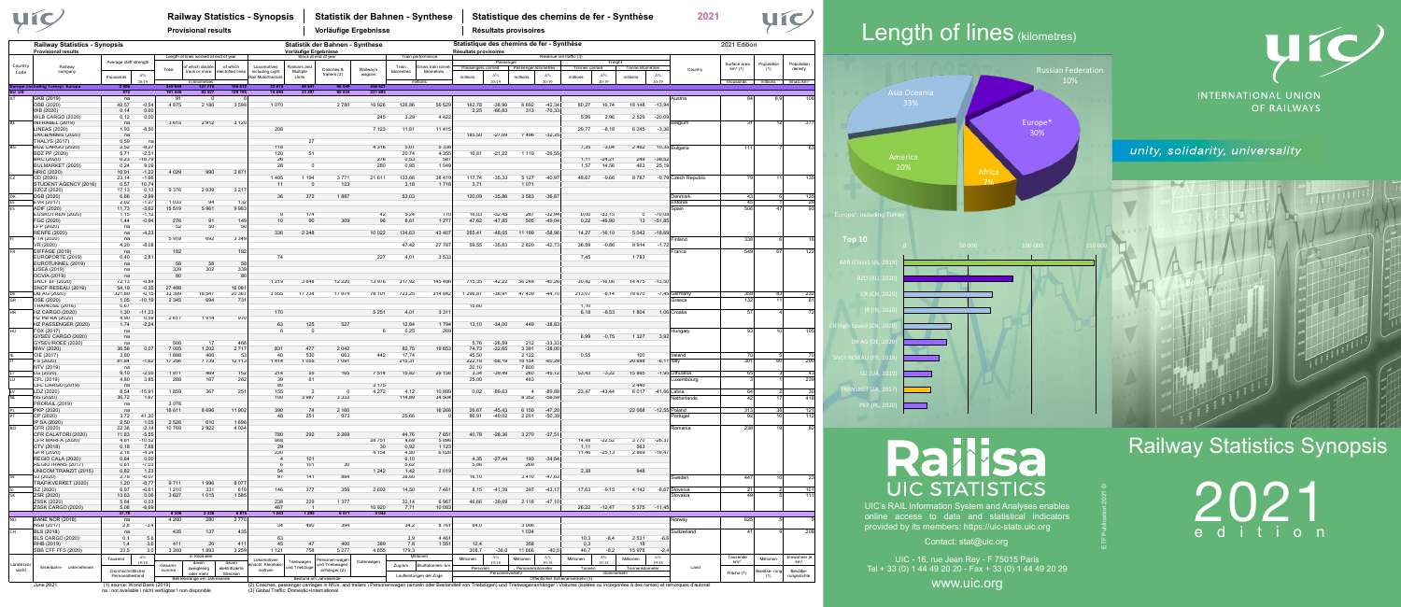### Railway Statistics Synopsis

2021 edition

Contact: stat@uic.org

UIC's RAIL Information System and Analyses enables online access to data and statistical indicators provided by its members: https://uic-stats.uic.org

UIC - 16, rue Jean Rey - F 75015 Paris Tel + 33 (0) 1 44 49 20 20 - Fax + 33 (0) 1 44 49 20 29

www.uic.org

ETF Publication 2021 ©

|                        | yíc                                                                |                                                  |                              |                    | <b>Provisional results</b>                                                               |                                      | <b>Railway Statistics - Synopsis</b>                 |                                                          | Statistik der Bahnen - Synthese<br>Vorläufige Ergebnisse |                     |                     |                                                                 |                                | Statistique des chemins de fer - Synthèse<br>2021<br>Résultats provisoires |                                  |                      |                                                        |                               |                              |                     |                                                                                                                                                                                                                |                             | Leng              |                                                                    |                              |  |
|------------------------|--------------------------------------------------------------------|--------------------------------------------------|------------------------------|--------------------|------------------------------------------------------------------------------------------|--------------------------------------|------------------------------------------------------|----------------------------------------------------------|----------------------------------------------------------|---------------------|---------------------|-----------------------------------------------------------------|--------------------------------|----------------------------------------------------------------------------|----------------------------------|----------------------|--------------------------------------------------------|-------------------------------|------------------------------|---------------------|----------------------------------------------------------------------------------------------------------------------------------------------------------------------------------------------------------------|-----------------------------|-------------------|--------------------------------------------------------------------|------------------------------|--|
|                        | <b>Railway Statistics - Synopsis</b><br><b>Provisional results</b> |                                                  |                              |                    |                                                                                          |                                      |                                                      | Statistik der Bahnen - Synthese<br>Vorläufige Ergebnisse |                                                          |                     |                     |                                                                 |                                | Statistique des chemins de fer - Synthèse<br>Résultats provisoires         |                                  |                      |                                                        |                               |                              |                     |                                                                                                                                                                                                                | 2021 Edition                |                   |                                                                    |                              |  |
| Country<br>Code        | Railway<br>company                                                 | Average staff strength<br>thousands              | $\Delta\%$<br>20/19          | Total              | Length of lines worked at end of year<br>f which doubl<br>track or more<br>in kilometres | of which<br>electrified lines        | Locomotives<br>including Light<br>Rail Motortractors | Railcars and<br>Multiple<br>Units                        | Stock at end of year<br>Coaches &<br>trailers (2)        | Railway's<br>wagons | Train<br>kilometres | Train performance<br>Gross train tonn<br>kilometres<br>millions | Passengers carried<br>millions | Passenger<br>$\Delta\%$<br>20/19                                           | Passenger kilometres<br>millions | $\Delta\%$<br>20/19  | Revenue rail traffic (3)<br>Tonnes carried<br>millions | Freigh<br>$\Delta\%$<br>20/19 | Tonne kilometres<br>millions | $\Delta\%$<br>20/19 | Country                                                                                                                                                                                                        | Surface area<br>$km^2(1)$   | Population<br>(1) | Population<br>density<br>thousands millions inhab./km <sup>2</sup> |                              |  |
| urope (incluo<br>EU UE | ng Turkey) Europa                                                  | 2 0 0 1<br>872                                   |                              | 345 949<br>191 546 | 127 775<br>62 527                                                                        | 185 612<br>109 195                   | 33 875<br>14 6 94                                    | 59 94<br>33 397                                          | 90 049<br>60 834                                         | 456 821<br>221 693  |                     |                                                                 |                                |                                                                            |                                  |                      |                                                        |                               |                              |                     |                                                                                                                                                                                                                |                             |                   |                                                                    | Asia                         |  |
|                        | GKB (2019)<br>ÖBB (2020)                                           | na<br>42,57                                      | $-0,5$                       | 91<br>4875         | - 0<br>2 1 8 6                                                                           | 3 5 9 8                              | 1070                                                 |                                                          | 2780                                                     | 16 9 26             | 126,86              | 56 529                                                          | 162,78                         | $-38,96$                                                                   | 6 6 9 2                          | $-42,34$             | 80,27                                                  | 16.74                         | 18 148                       | $-13,94$            | Austria                                                                                                                                                                                                        | 84                          | 8.9               |                                                                    |                              |  |
|                        | WB (2020)<br><b>WLB CARGO (2020)</b>                               | 0,14<br>0,12                                     | 0,00<br>0,00                 |                    |                                                                                          |                                      |                                                      |                                                          |                                                          | 245                 | 3,29                | 4 4 2 2                                                         | 2,25                           | $-66,83$                                                                   | 313                              | $-70,33$             | 5,26                                                   | 2,96                          | 2 5 2 9                      | $-20,09$            |                                                                                                                                                                                                                |                             |                   |                                                                    |                              |  |
|                        | INFRABEL (2019)<br>INEAS (2020)                                    | na<br>1,93                                       | $-8,5$                       | 3615               | 2912                                                                                     | 3 1 2 0                              | 208                                                  |                                                          |                                                          | 7 1 2 3             | 11,81               | 11 4 15                                                         |                                |                                                                            |                                  |                      | 29,77                                                  | $-8,18$                       | 6 2 4 5                      | $-3,36$             | selgium                                                                                                                                                                                                        | -31                         | 12                | -37                                                                |                              |  |
|                        | <b>SNCB/NMBS (2020)</b><br><b>THALYS (2017)</b>                    | na<br>0,59                                       |                              |                    |                                                                                          |                                      |                                                      | 27                                                       |                                                          |                     |                     |                                                                 | 185,50                         | $-27,69$                                                                   | 7496                             | $-32,25$             |                                                        |                               |                              |                     |                                                                                                                                                                                                                |                             |                   |                                                                    |                              |  |
|                        | <b>BDZ CARGO (2020)</b><br>BDZ PP (2020)                           | 2,52<br>5,71                                     | $-8,2$<br>$-2,5$             |                    |                                                                                          |                                      | 118<br>120                                           | 51                                                       |                                                          | 4 3 1 6             | 5,07<br>20,74       | 5 3 3 6<br>4 3 5 5                                              | 16,81                          | $-21,22$                                                                   | 1 1 1 9                          | $-26,55$             | 7,35                                                   | $-3,04$                       | 2462                         |                     | 10,35 Bulgaria                                                                                                                                                                                                 | 111                         |                   |                                                                    |                              |  |
|                        | BRC (2020)                                                         | 0,23                                             | $-18,7$                      |                    |                                                                                          |                                      | 26                                                   |                                                          |                                                          | 276                 | 0,53                | 587                                                             |                                |                                                                            |                                  |                      | 1,11                                                   | $-24,21$                      | 249                          | $-38,52$            |                                                                                                                                                                                                                |                             |                   |                                                                    | Ame                          |  |
|                        | BULMARKET (2020)<br>NRIC (2020)                                    | 0,24<br>10,91                                    | 9,0<br>$-1,22$               | 4 0 2 9            | 990                                                                                      | 287                                  | 28                                                   | $\mathbf 0$                                              |                                                          | 280                 | 0,95                | 1 0 4 9                                                         |                                |                                                                            |                                  |                      | 1,57                                                   | 14,56                         | 463                          | 25,19               |                                                                                                                                                                                                                |                             |                   |                                                                    |                              |  |
|                        | CD (2020)<br>STUDENT AGENCY (2016)                                 | 23,14<br>0,57                                    | $-1,66$<br>10,74             |                    |                                                                                          |                                      | 1405<br>11                                           | 1 1 9 4<br>$\overline{0}$                                | 3771<br>123                                              | 21 611              | 133,66<br>3,18      | 38 419<br>1716                                                  | 117,74<br>3,71                 | $-35,33$                                                                   | 5 1 2 7<br>1071                  | $-40,97$             | 48,67                                                  | $-9,66$                       | 8787                         |                     | -9,79 Czech Republic                                                                                                                                                                                           | 79                          | 11                | 135                                                                |                              |  |
|                        | SZCZ (2020)<br>DSB (2020)                                          | 17,13<br>6,66                                    | 0,1<br>$-2,99$               | 9376               | 2039                                                                                     | 3 2 1 7                              | 36                                                   | 372                                                      | 1887                                                     |                     | 53,03               |                                                                 | 120,09                         | $-35,86$                                                                   | 3583                             | $-36,87$             |                                                        |                               |                              |                     | Denmark                                                                                                                                                                                                        | $\overline{43}$             |                   | 135                                                                |                              |  |
|                        | EVR (2017)<br>ADIF (2020)                                          | 2,02<br>11,73                                    | $-1,27$<br>$-3,62$           | 1033<br>15 5 19    | 94<br>5961                                                                               | 132<br>9983                          |                                                      |                                                          |                                                          |                     |                     |                                                                 |                                |                                                                            |                                  |                      |                                                        |                               |                              |                     | Estonia                                                                                                                                                                                                        | 45<br>506                   | 47                | 29<br>93                                                           |                              |  |
|                        | EUSKOTREN (2020)                                                   | 1,15                                             | $-1,1$                       |                    |                                                                                          |                                      | -9                                                   | 174                                                      |                                                          | 42                  | 5,24                | 770                                                             | 16,03                          | $-32,45$                                                                   | 287                              | $-32,94$             | 0,00                                                   | $-33,15$                      | $\overline{0}$               | $-70,08$            | Spain                                                                                                                                                                                                          |                             |                   |                                                                    | Europe*: including Turkey    |  |
|                        | FGC (2020)<br>LFP (2020)                                           | 1,44<br>na                                       | $-0,94$                      | 276<br>52          | 91<br>50                                                                                 | 149<br>50                            | 10                                                   | 90                                                       | 309                                                      | 98                  | 8,61                | 1 2 7 7                                                         | 47,62                          | $-47,85$                                                                   | 505                              | $-49,04$             | 0,22                                                   | $-46,90$                      | 13                           | $-51,85$            |                                                                                                                                                                                                                |                             |                   |                                                                    |                              |  |
|                        | <b>RENFE (2020)</b><br>FTA (2020)                                  | na<br>na                                         | $-4,2$                       | 5918               | 692                                                                                      | 3 3 4 9                              | 336                                                  | 2 2 4 8                                                  |                                                          | 10 0 22             | 134,63              | 43 407                                                          | 265,41                         | $-48,05$                                                                   | 11 189                           | $-58,96$             | 14,27                                                  | $-16, 10$                     | 5 0 4 2                      | -18.6               | Finland                                                                                                                                                                                                        | 338                         |                   |                                                                    | <b>Top 10</b>                |  |
|                        | /R (2020)<br>EIFFAGE (2019)                                        | 4,20<br>na                                       | $-8,0$                       | 182                |                                                                                          | 182                                  |                                                      |                                                          |                                                          |                     | 47,42               | 27 787                                                          | 59,55                          | $-35,83$                                                                   | 2820                             | $-42,73$             | 36,59                                                  | $-0.86$                       | 9914                         | $-1,72$             | France                                                                                                                                                                                                         | 549                         | 67                | 122                                                                |                              |  |
|                        | EUROPORTE (2019)                                                   | 0,40                                             | 2,8                          |                    |                                                                                          |                                      | 74                                                   |                                                          |                                                          | 227                 | 4,01                | 3533                                                            |                                |                                                                            |                                  |                      | 7,45                                                   |                               | 1783                         |                     |                                                                                                                                                                                                                |                             |                   |                                                                    | <b>AAR</b> (Class1 US, 2019) |  |
|                        | EUROTUNNEL (2019)<br>ISEA (2019)                                   | na<br>na                                         |                              | 58<br>339          | 58<br>302                                                                                | 339                                  |                                                      |                                                          |                                                          |                     |                     |                                                                 |                                |                                                                            |                                  |                      |                                                        |                               |                              |                     |                                                                                                                                                                                                                |                             |                   |                                                                    |                              |  |
|                        | <b>OCVIA (2019)</b><br><b>SNCF EF (2020)</b>                       | na<br>72,13                                      | $-6,8$                       | 80                 |                                                                                          | 80                                   | 1 2 1 9                                              | 3648                                                     | 12 2 2 0                                                 | 13 976              | 317,92              | 145 496                                                         | 715,35                         | $-42,22$                                                                   | 56 248                           | $-40,26$             | 30,42                                                  | $-16,06$                      | 14 4 7 5                     | $-13,50$            |                                                                                                                                                                                                                |                             |                   |                                                                    | RZD (RU, 2020)               |  |
|                        | SNCF RESEAU (2019)<br>DB AG (2020)                                 | 54,19<br>321,89                                  | $-0,35$<br>$-0,1$            | 27 498<br>33 399   | 18 547                                                                                   | 16 081<br>20 367                     | 3555                                                 | 17 734                                                   | 17874                                                    | 78 101              | 723,25              | 314 842                                                         | 1296,87                        | $-38.91$                                                                   | 47439                            | $-44,70$             | 213,07                                                 | $-8.14$                       | 78 670                       |                     | -7,45 Germany                                                                                                                                                                                                  | 358                         | 83                | 232                                                                | CR (CN, 2020)                |  |
|                        | OSE (2020)<br>TRAINOSE (2016)                                      | 1,05<br>0,67                                     | $-10,15$                     | 2 3 4 5            | 694                                                                                      | 731                                  |                                                      |                                                          |                                                          |                     |                     |                                                                 | 15,60                          |                                                                            |                                  |                      | 1,10                                                   |                               |                              |                     | Greece                                                                                                                                                                                                         | 132                         | 11                |                                                                    |                              |  |
|                        | <b>HZ CARGO (2020)</b><br><b>HZ INFRA (2020)</b>                   | 1,30                                             | $-11,2$                      |                    |                                                                                          | 970                                  | 170                                                  |                                                          |                                                          | 5 2 5 1             | 4,01                | 331'                                                            |                                |                                                                            |                                  |                      | 6,18                                                   | $-8,53$                       | 1804                         |                     | 1,06 Croatia                                                                                                                                                                                                   | 57                          |                   |                                                                    | R (IN, 2020)                 |  |
|                        | HZ PASSENGER (2020)                                                | 4,90<br>1,74                                     | 0,5!<br>$-2,24$              | 2617               | 1914                                                                                     |                                      | 63                                                   | 125                                                      | 527                                                      |                     | 12,84               | 1794                                                            | 13,10                          | $-34,00$                                                                   | 449                              | $-38,83$             |                                                        |                               |                              |                     |                                                                                                                                                                                                                |                             |                   |                                                                    | $CR$ Hi<br>h Speed (CN, 2020 |  |
|                        | FOX (2017)<br>GYSEV CARGO (2020)                                   | na<br>na                                         |                              |                    |                                                                                          |                                      | - 6                                                  | $^{\circ}$                                               |                                                          | -6                  | 0,25                | 26                                                              |                                |                                                                            |                                  |                      | 6,99                                                   | $-0,75$                       | 1 3 2 7                      | 3,92                | Hungary                                                                                                                                                                                                        | 93                          | 10                | 105                                                                |                              |  |
|                        | GYSEV/RÖEE (2020)<br>MAV (2020)                                    | na<br>36,58                                      | 0,0                          | 506<br>7 0 0 5     | -17<br>1 2 0 2                                                                           | 466<br>2 7 1 7                       | 831                                                  | 477                                                      | 2042                                                     |                     | 82,75               | 19 653                                                          | 5,76<br>74,73                  | $-26,59$<br>$-32,65$                                                       | 212<br>3 3 9 1                   | $-33,33$<br>$-38,00$ |                                                        |                               |                              |                     |                                                                                                                                                                                                                |                             |                   |                                                                    | DB AG (DE, 2020)             |  |
|                        | CIE (2017)<br>FS (2020)                                            | 3,80<br>81,84                                    | $-1,6$                       | 1888<br>17 25 6    | 466<br>7739                                                                              | 12 113                               | 40<br>1414                                           | 530<br>1055                                              | 663<br>7 0 9 1                                           | 442                 | 17,74<br>215,31     |                                                                 | 45,50<br>222,18                | $-58,19$                                                                   | 2 1 2 2<br>18 154                | $-60,29$             | 0,55                                                   |                               | 100<br>20 688                | $-6,11$             | Ireland<br>Italy                                                                                                                                                                                               | 70<br>301                   | 60                | 200                                                                | SNCF RESEAU (FR, 2019)       |  |
|                        | NTV (2019)<br>LG (2020)                                            | na<br>9,10                                       | $-2,5$                       | 1911               | 469                                                                                      | 152                                  | 214                                                  | 55                                                       | 165                                                      | 7514                | 15,82               | 29 15 6                                                         | 20,10<br>3,34                  | $-39,49$                                                                   | 7800<br>260                      | $-45,72$             | 53,43                                                  | $-3,22$                       | 15 865                       |                     | -1,95 Lithuania                                                                                                                                                                                                | 65                          |                   | 43                                                                 | UZ (UA, 2019)                |  |
|                        | CFL (2019)                                                         | 4,80                                             | 3,8                          | 288                | 167                                                                                      | 262                                  | 39                                                   | 61                                                       |                                                          |                     |                     |                                                                 | 25,00                          |                                                                            | 463                              |                      |                                                        |                               |                              |                     | uxembourg                                                                                                                                                                                                      |                             |                   | 239                                                                |                              |  |
|                        | CFL CARGO (2019)<br>LDZ (2020)                                     | na<br>8,54                                       | $-15,9$                      | 1859               | 367                                                                                      | 251                                  | 80<br>155                                            | $\overline{2}$                                           | $\Omega$                                                 | 3 1 7 5<br>4 2 7 2  | 4,12                | 10899                                                           | 0,02                           | $-89,63$                                                                   | $\overline{4}$                   | $-89.81$             | 23,47                                                  | $-43,44$                      | 2 4 4 0<br>6017              | -41,66 Latvia       |                                                                                                                                                                                                                | 64                          |                   |                                                                    | RANSNET (ZA, 2017)           |  |
|                        | NS (2020)<br>PRORAIL (2019)                                        | 36,72<br>na                                      | 1,67                         | 3078               |                                                                                          |                                      | 100                                                  | 3987                                                     | 3 3 3 3                                                  |                     | 114,89              | 34 504                                                          |                                |                                                                            | 8 3 5 2                          | $-56,59$             |                                                        |                               |                              |                     | Netherlands                                                                                                                                                                                                    | 42                          | -17               | 418                                                                | PKP (PL, 2020)               |  |
|                        | PKP (2020)<br>CP (2020)                                            | na<br>3,72                                       | 41.3                         | 18 611             | 8696                                                                                     | 11 902                               | 390<br>48                                            | 74<br>251                                                | 2 1 6 0<br>973                                           |                     | 25,66               | 16 26 6                                                         | 26.67<br>86,91                 | $-45,43$<br>$-40,02$                                                       | 6 1 5 0<br>2 2 0 1               | $-47,20$<br>$-50,39$ |                                                        |                               | 22 068                       | $-12,55$ Poland     | Portugal                                                                                                                                                                                                       | 313<br>92                   | 38<br>10          | 121<br>112                                                         |                              |  |
|                        | P SA (2020)<br>CFR (2020)                                          | 2,50<br>22,36                                    | 1,0<br>$-2,1$                | 2526<br>10769      | 610<br>2922                                                                              | 1 6 9 6<br>4 0 3 4                   |                                                      |                                                          |                                                          |                     |                     |                                                                 |                                |                                                                            |                                  |                      |                                                        |                               |                              |                     | Romania                                                                                                                                                                                                        | 238                         | 19                |                                                                    |                              |  |
|                        | CFR CALATORI (2020)<br>CFR MARFA (2020)                            | 11,83<br>4,81                                    | $-5,5$<br>$-10,5$            |                    |                                                                                          |                                      | 780<br>868                                           | 292                                                      | 2 2 6 9                                                  | 28 751              | 44.76<br>4,69       | 7651<br>5896                                                    | 40,78                          | $-28,36$                                                                   | 3 2 7 0                          | $-37,51$             | 14.48                                                  | $-22.52$                      | 2 7 7 0                      | $-26,37$            |                                                                                                                                                                                                                |                             |                   |                                                                    |                              |  |
|                        | CTV (2018)                                                         | 0,18                                             | 7,8                          |                    |                                                                                          |                                      | 29                                                   |                                                          |                                                          | 30                  | 0,92                | 1 1 2 3                                                         |                                |                                                                            |                                  |                      | 1.11                                                   |                               | 563                          |                     |                                                                                                                                                                                                                |                             |                   |                                                                    |                              |  |
|                        | GFR (2020)<br>REGIO CALA (2020)                                    | 2,18<br>0,64                                     | $-4.34$<br>0,00              |                    |                                                                                          |                                      | 230<br>$\overline{4}$                                | 101                                                      |                                                          | 4 1 5 4             | 4,80<br>6.10        | 6 0 26                                                          | 4.35                           | $-27,44$                                                                   | 193                              | $-34,54$             | 11.46                                                  | $-25,13$                      | 2869                         | $-18,47$            |                                                                                                                                                                                                                |                             |                   |                                                                    |                              |  |
|                        | REGIOTRANS (2017)<br>JNICOM TRANZIT (2015)                         | 0,61<br>0,82                                     | $-7,03$<br>1,23              |                    |                                                                                          |                                      | 54                                                   | 101                                                      | 30                                                       | 1 2 4 2             | 5,62<br>1,42        | 2019                                                            | 5,86                           |                                                                            | 269                              |                      | 2,38                                                   |                               | 948                          |                     |                                                                                                                                                                                                                |                             |                   |                                                                    |                              |  |
|                        | SJ (2020)<br>TRAFIKVERKET (2020)                                   | 2,78<br>1,20                                     | $-6,07$<br>$-8,77$           | 9711               | 1996                                                                                     | 8 0 7 7                              | 97                                                   | 141                                                      | 884                                                      |                     | 38,60               |                                                                 | 16,10                          |                                                                            | 3410                             | $-47,63$             |                                                        |                               |                              |                     | 3weder                                                                                                                                                                                                         | 447                         | 10                | 23                                                                 |                              |  |
|                        | SZ (2020)<br>ZSR (2020)                                            | 6,97<br>13,63                                    | $-6,61$<br>0,06              | 1 2 1 0<br>3627    | 331<br>1015                                                                              | 610<br>1585                          | 146                                                  | 377                                                      | 356                                                      | 2693                | 14,50               | 7461                                                            | 8,15                           | $-41,39$                                                                   | 397                              | $-43,17$             | 17.63                                                  | $-9.15$                       | 4 1 4 2                      |                     | -8,67 Slovenia<br>Slovakia                                                                                                                                                                                     | 21<br>49                    |                   | 101<br>111                                                         |                              |  |
|                        | ZSSK (2020)<br>ZSSK CARGO (2020)                                   | 5,84<br>5,08                                     | 0,03<br>$-6,69$              |                    |                                                                                          |                                      | 238<br>467                                           | 229<br>$\overline{1}$                                    | 1 3 7 7                                                  |                     | 32,14               | 6967<br>10 083                                                  | 46,66                          | $-39,69$                                                                   | 2 118 -47.10                     |                      | 26,22 -12,47                                           |                               | 5 375 - 11,45                |                     |                                                                                                                                                                                                                |                             |                   |                                                                    | <b>UIC's RAII</b>            |  |
|                        |                                                                    | 37,78                                            |                              | 8 3 0 6            | 2 3 3 6                                                                                  | 6875                                 | 1 2 6 3                                              | 1 2 9 5                                                  | 6071                                                     | 10 9 20<br>5 0 4 4  | 7,71                |                                                                 |                                |                                                                            |                                  |                      |                                                        |                               |                              |                     |                                                                                                                                                                                                                |                             |                   |                                                                    | online ac                    |  |
|                        | <b>BANE NOR (2018)</b><br><b>NSB (2017)</b>                        | na<br>2,8                                        | $-3,$                        | 4 2 0 0            | 280                                                                                      | 2770                                 | 34                                                   | 490                                                      | 394                                                      |                     | 34,2                | 8761                                                            | 64,0                           |                                                                            | 3 0 9 6                          |                      |                                                        |                               |                              |                     | Norway                                                                                                                                                                                                         | 625                         |                   |                                                                    | provided b                   |  |
|                        | <b>BLS (2018)</b><br><b>BLS CARGO (2020)</b>                       | na<br>0,1                                        | 5                            | 435                | 137                                                                                      | 435                                  | 63                                                   |                                                          |                                                          |                     | 3,9                 | 4 4 6 1                                                         |                                |                                                                            | 1 0 3 4                          |                      | 10,3                                                   | $-8,4$                        | 2 5 3 1                      | $-6,6$              | Switzerland                                                                                                                                                                                                    | 41                          |                   | 208                                                                |                              |  |
|                        | RHB (2019)<br><b>SBB CFF FFS (2020)</b>                            | 1,4<br>33,5                                      | $\mathbf{3}$<br>$\mathbf{3}$ | 411<br>3 2 6 0     | 26<br>1893                                                                               | 411<br>3 2 5 9                       | 45<br>1 1 2 1                                        | 47<br>758                                                | 400<br>5 2 7 7                                           | 389<br>4 6 5 5      | 7,8<br>179,3        | 1551                                                            | 12,4<br>308,7                  | $-36,0$                                                                    | 358<br>11 666                    | $-40,5$              | 0,3<br>46,7                                            | $-8.2$                        | 18<br>15978                  | $-2,4$              |                                                                                                                                                                                                                |                             |                   |                                                                    |                              |  |
|                        |                                                                    | Tausend                                          | $\Delta\%$<br>19/18          |                    | in Kilometer                                                                             |                                      | Lokomotiven                                          | Triebwagen                                               | ersonen-wage                                             | Güterwagen          |                     | Millionen                                                       | Millionen                      | $\Delta\%$<br>19/18                                                        | Millionen                        | $\Delta\%$<br>19/18  | Millionen                                              | $\Delta\%$<br>19/18           | Millionen                    | $\Delta\%$<br>19/18 |                                                                                                                                                                                                                | Tausende<br>km <sup>2</sup> | Millionen         | Einwohner je<br>km <sup>2</sup>                                    |                              |  |
| Landesvo<br>wahl       | Eisenbahn- unternehmen                                             | Durchschnittlicher                               |                              | Gesamt-<br>summe   | davon<br>zweigleisig<br>oder mehr                                                        | davon<br>elektrifizierte<br>Strecken | schl. Kleinloko-<br>motiven                          | und Triebzüge                                            | und Triebwager<br>anhänger (2)                           |                     | Zug-km              | Bruttotonnen- kn                                                | Personen                       | Personenverkehr                                                            | Personenkilometer                |                      | Tonnen                                                 | Güterverkehr                  | Tonnenkilometer              |                     | Land                                                                                                                                                                                                           | Fläche (1)                  | Bevölke- rung     | Bevölke-                                                           | Tel + 33 ( $\overline{q}$    |  |
|                        | June 2021                                                          | Personalbestand<br>(1) source: World Bank (2019) |                              |                    | Betriebslänge am Jahresende                                                              |                                      |                                                      |                                                          | Bestand am Jahresende                                    |                     |                     | Laufleistungen der Züge                                         |                                |                                                                            |                                  |                      | Öffentlicher Schienenverkehr (3)                       |                               |                              |                     | (2) Coaches, passenger carriages in MUs, and trailers \ Personenwagen (einzeln oder Bestandteil von Triebzügen) und Triebwagenanhänger \ Voitures (isolées ou incorporées à des rames) et remorques d'autorail |                             | (1)               | rungsdichte                                                        |                              |  |

na : not available \ nicht verfügbar \ non disponible

## Length of lines (kilometres)





### **INTERNATIONAL UNION** OF RAILWAYS

unity, solidarity, universality



# **Railisa** UIC STATISTICS